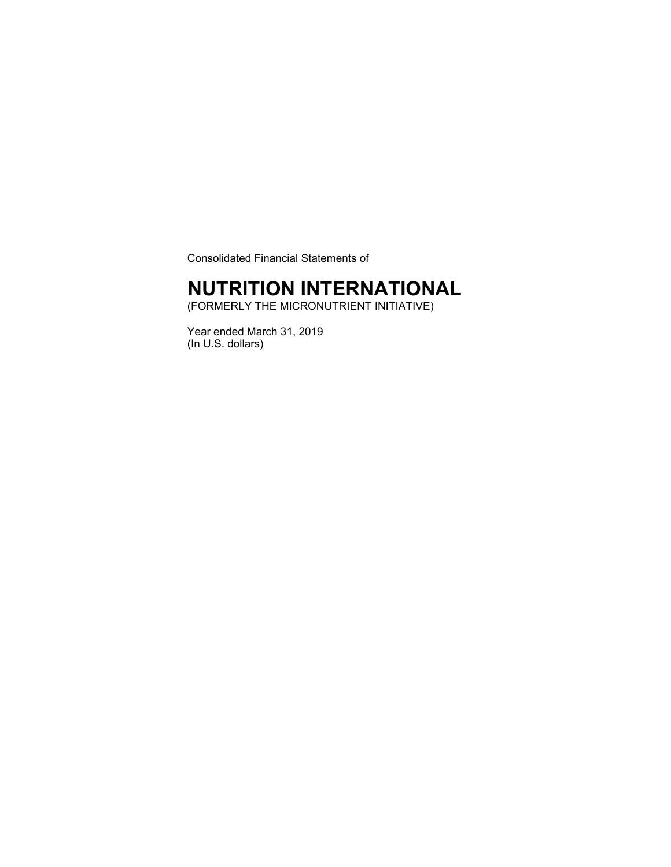Consolidated Financial Statements of

### **NUTRITION INTERNATIONAL**

(FORMERLY THE MICRONUTRIENT INITIATIVE)

Year ended March 31, 2019 (In U.S. dollars)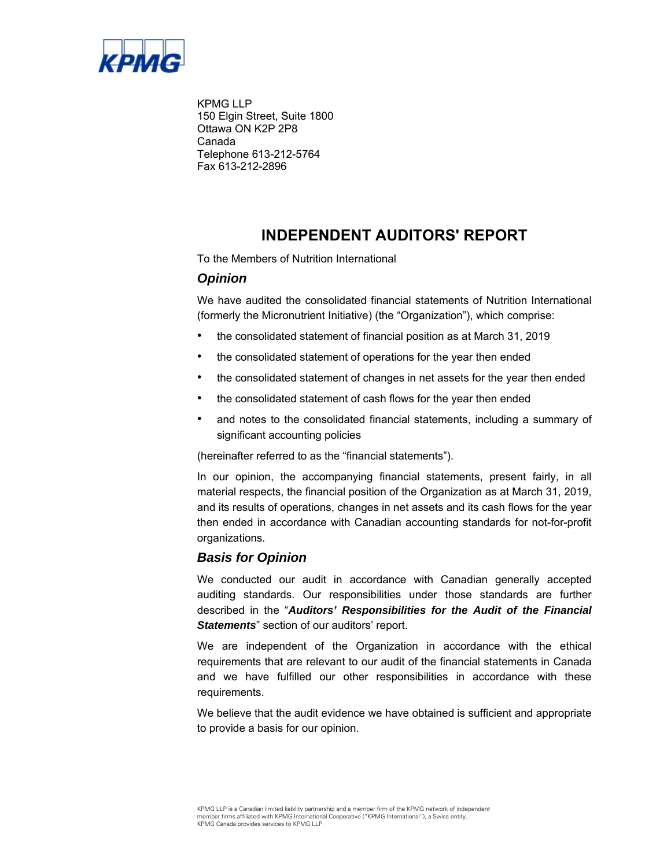

KPMG LLP 150 Elgin Street, Suite 1800 Ottawa ON K2P 2P8 Canada Telephone 613-212-5764 Fax 613-212-2896

### **INDEPENDENT AUDITORS' REPORT**

To the Members of Nutrition International

### *Opinion*

We have audited the consolidated financial statements of Nutrition International (formerly the Micronutrient Initiative) (the "Organization"), which comprise:

- the consolidated statement of financial position as at March 31, 2019
- the consolidated statement of operations for the year then ended
- the consolidated statement of changes in net assets for the year then ended
- the consolidated statement of cash flows for the year then ended
- and notes to the consolidated financial statements, including a summary of significant accounting policies

(hereinafter referred to as the "financial statements").

In our opinion, the accompanying financial statements, present fairly, in all material respects, the financial position of the Organization as at March 31, 2019, and its results of operations, changes in net assets and its cash flows for the year then ended in accordance with Canadian accounting standards for not-for-profit organizations.

### *Basis for Opinion*

We conducted our audit in accordance with Canadian generally accepted auditing standards. Our responsibilities under those standards are further described in the "*Auditors' Responsibilities for the Audit of the Financial Statements*" section of our auditors' report.

We are independent of the Organization in accordance with the ethical requirements that are relevant to our audit of the financial statements in Canada and we have fulfilled our other responsibilities in accordance with these requirements.

We believe that the audit evidence we have obtained is sufficient and appropriate to provide a basis for our opinion.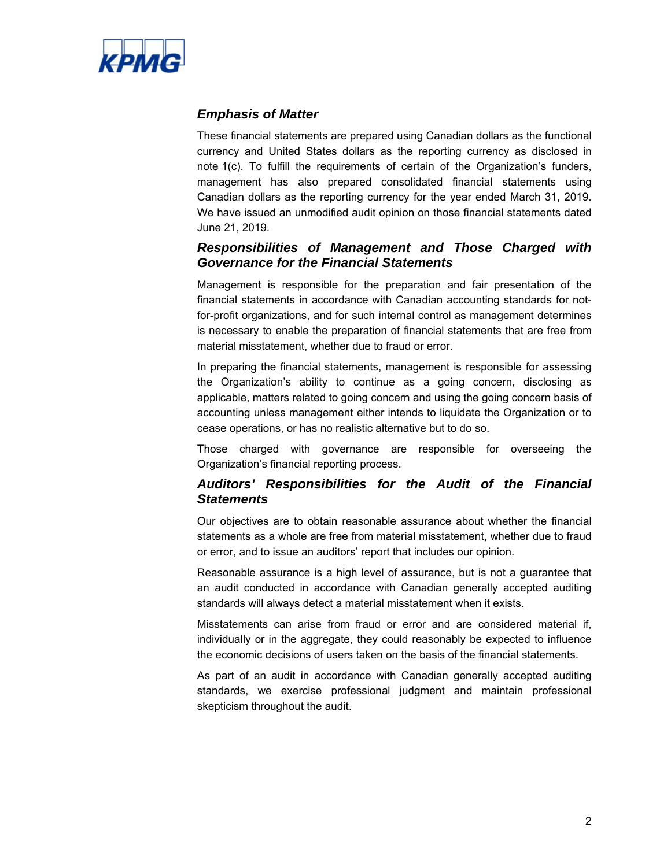

### *Emphasis of Matter*

These financial statements are prepared using Canadian dollars as the functional currency and United States dollars as the reporting currency as disclosed in note 1(c). To fulfill the requirements of certain of the Organization's funders, management has also prepared consolidated financial statements using Canadian dollars as the reporting currency for the year ended March 31, 2019. We have issued an unmodified audit opinion on those financial statements dated June 21, 2019.

### *Responsibilities of Management and Those Charged with Governance for the Financial Statements*

Management is responsible for the preparation and fair presentation of the financial statements in accordance with Canadian accounting standards for notfor-profit organizations, and for such internal control as management determines is necessary to enable the preparation of financial statements that are free from material misstatement, whether due to fraud or error.

In preparing the financial statements, management is responsible for assessing the Organization's ability to continue as a going concern, disclosing as applicable, matters related to going concern and using the going concern basis of accounting unless management either intends to liquidate the Organization or to cease operations, or has no realistic alternative but to do so.

Those charged with governance are responsible for overseeing the Organization's financial reporting process.

### *Auditors' Responsibilities for the Audit of the Financial Statements*

Our objectives are to obtain reasonable assurance about whether the financial statements as a whole are free from material misstatement, whether due to fraud or error, and to issue an auditors' report that includes our opinion.

Reasonable assurance is a high level of assurance, but is not a guarantee that an audit conducted in accordance with Canadian generally accepted auditing standards will always detect a material misstatement when it exists.

Misstatements can arise from fraud or error and are considered material if, individually or in the aggregate, they could reasonably be expected to influence the economic decisions of users taken on the basis of the financial statements.

As part of an audit in accordance with Canadian generally accepted auditing standards, we exercise professional judgment and maintain professional skepticism throughout the audit.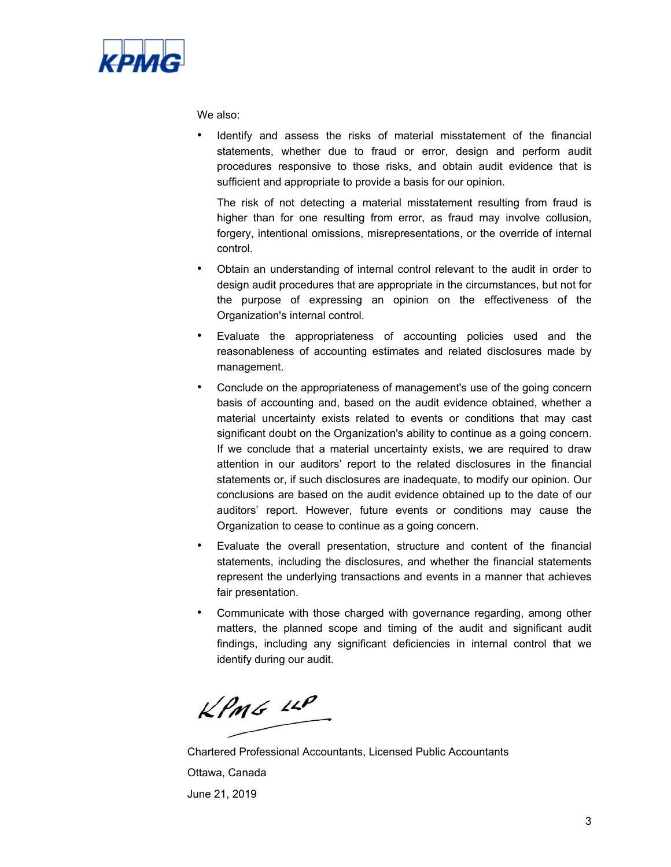

We also:

• Identify and assess the risks of material misstatement of the financial statements, whether due to fraud or error, design and perform audit procedures responsive to those risks, and obtain audit evidence that is sufficient and appropriate to provide a basis for our opinion.

The risk of not detecting a material misstatement resulting from fraud is higher than for one resulting from error, as fraud may involve collusion, forgery, intentional omissions, misrepresentations, or the override of internal control.

- Obtain an understanding of internal control relevant to the audit in order to design audit procedures that are appropriate in the circumstances, but not for the purpose of expressing an opinion on the effectiveness of the Organization's internal control.
- Evaluate the appropriateness of accounting policies used and the reasonableness of accounting estimates and related disclosures made by management.
- Conclude on the appropriateness of management's use of the going concern basis of accounting and, based on the audit evidence obtained, whether a material uncertainty exists related to events or conditions that may cast significant doubt on the Organization's ability to continue as a going concern. If we conclude that a material uncertainty exists, we are required to draw attention in our auditors' report to the related disclosures in the financial statements or, if such disclosures are inadequate, to modify our opinion. Our conclusions are based on the audit evidence obtained up to the date of our auditors' report. However, future events or conditions may cause the Organization to cease to continue as a going concern.
- Evaluate the overall presentation, structure and content of the financial statements, including the disclosures, and whether the financial statements represent the underlying transactions and events in a manner that achieves fair presentation.
- Communicate with those charged with governance regarding, among other matters, the planned scope and timing of the audit and significant audit findings, including any significant deficiencies in internal control that we identify during our audit.

 $KPMG$  LLP

Chartered Professional Accountants, Licensed Public Accountants Ottawa, Canada June 21, 2019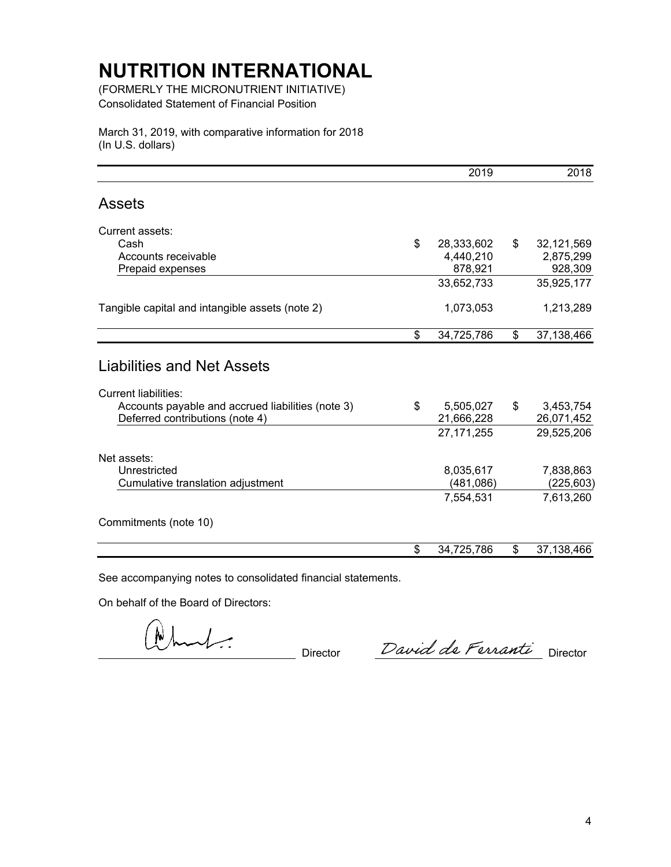(FORMERLY THE MICRONUTRIENT INITIATIVE) Consolidated Statement of Financial Position

March 31, 2019, with comparative information for 2018 (In U.S. dollars)

|                                                                                                                     | 2019                          | 2018                          |
|---------------------------------------------------------------------------------------------------------------------|-------------------------------|-------------------------------|
| <b>Assets</b>                                                                                                       |                               |                               |
| Current assets:                                                                                                     |                               |                               |
| Cash                                                                                                                | \$<br>28,333,602              | \$<br>32,121,569              |
| Accounts receivable                                                                                                 | 4,440,210                     | 2,875,299                     |
| Prepaid expenses                                                                                                    | 878,921                       | 928,309                       |
|                                                                                                                     | 33,652,733                    | 35,925,177                    |
| Tangible capital and intangible assets (note 2)                                                                     | 1,073,053                     | 1,213,289                     |
|                                                                                                                     | \$<br>34,725,786              | \$<br>37,138,466              |
| <b>Current liabilities:</b><br>Accounts payable and accrued liabilities (note 3)<br>Deferred contributions (note 4) | \$<br>5,505,027<br>21,666,228 | \$<br>3,453,754<br>26,071,452 |
|                                                                                                                     | 27, 171, 255                  | 29,525,206                    |
|                                                                                                                     |                               |                               |
|                                                                                                                     |                               |                               |
| Net assets:<br>Unrestricted                                                                                         |                               |                               |
| Cumulative translation adjustment                                                                                   | 8,035,617<br>(481,086)        | 7,838,863                     |
|                                                                                                                     | 7,554,531                     | 7,613,260                     |
| Commitments (note 10)                                                                                               |                               | (225, 603)                    |

See accompanying notes to consolidated financial statements.

On behalf of the Board of Directors:

Mund.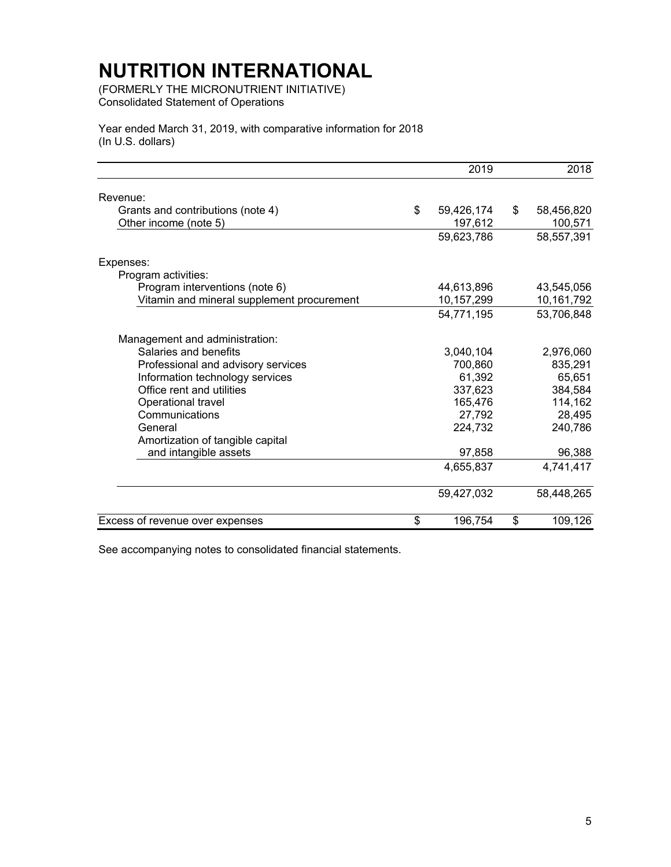(FORMERLY THE MICRONUTRIENT INITIATIVE) Consolidated Statement of Operations

Year ended March 31, 2019, with comparative information for 2018 (In U.S. dollars)

|                                            | 2019             | 2018             |
|--------------------------------------------|------------------|------------------|
| Revenue:                                   |                  |                  |
| Grants and contributions (note 4)          | \$<br>59,426,174 | \$<br>58,456,820 |
| Other income (note 5)                      | 197,612          | 100,571          |
|                                            | 59,623,786       | 58,557,391       |
|                                            |                  |                  |
| Expenses:                                  |                  |                  |
| Program activities:                        |                  |                  |
| Program interventions (note 6)             | 44,613,896       | 43,545,056       |
| Vitamin and mineral supplement procurement | 10,157,299       | 10,161,792       |
|                                            | 54,771,195       | 53,706,848       |
|                                            |                  |                  |
| Management and administration:             |                  |                  |
| Salaries and benefits                      | 3,040,104        | 2,976,060        |
| Professional and advisory services         | 700,860          | 835,291          |
| Information technology services            | 61,392           | 65,651           |
| Office rent and utilities                  | 337,623          | 384,584          |
| Operational travel                         | 165,476          | 114,162          |
| Communications                             | 27,792           | 28,495           |
| General                                    | 224,732          | 240,786          |
| Amortization of tangible capital           |                  |                  |
| and intangible assets                      | 97,858           | 96,388           |
|                                            | 4,655,837        | 4,741,417        |
|                                            | 59,427,032       | 58,448,265       |
| Excess of revenue over expenses            | \$<br>196,754    | \$<br>109,126    |

See accompanying notes to consolidated financial statements.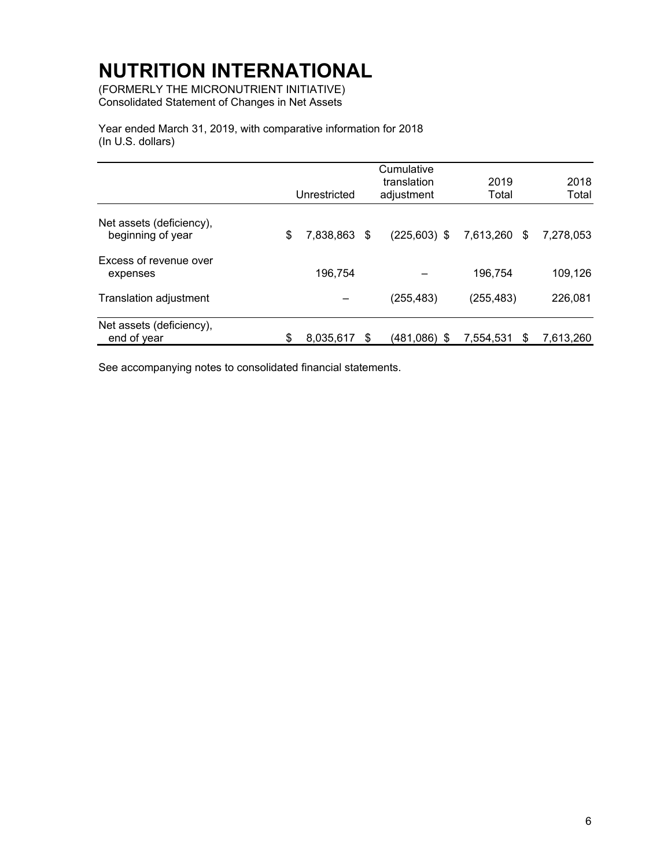(FORMERLY THE MICRONUTRIENT INITIATIVE) Consolidated Statement of Changes in Net Assets

Year ended March 31, 2019, with comparative information for 2018 (In U.S. dollars)

|                                               |                 |      | Cumulative      |            |   |           |
|-----------------------------------------------|-----------------|------|-----------------|------------|---|-----------|
|                                               |                 |      | translation     | 2019       |   | 2018      |
|                                               | Unrestricted    |      | adjustment      | Total      |   | Total     |
| Net assets (deficiency),<br>beginning of year | \$<br>7,838,863 | - \$ | $(225, 603)$ \$ | 7,613,260  | S | 7,278,053 |
| Excess of revenue over<br>expenses            | 196,754         |      |                 | 196,754    |   | 109,126   |
| Translation adjustment                        |                 |      | (255, 483)      | (255, 483) |   | 226,081   |
| Net assets (deficiency),<br>end of year       | \$<br>8,035,617 | \$.  | (481,086) \$    | 7,554,531  | S | 7,613,260 |

See accompanying notes to consolidated financial statements.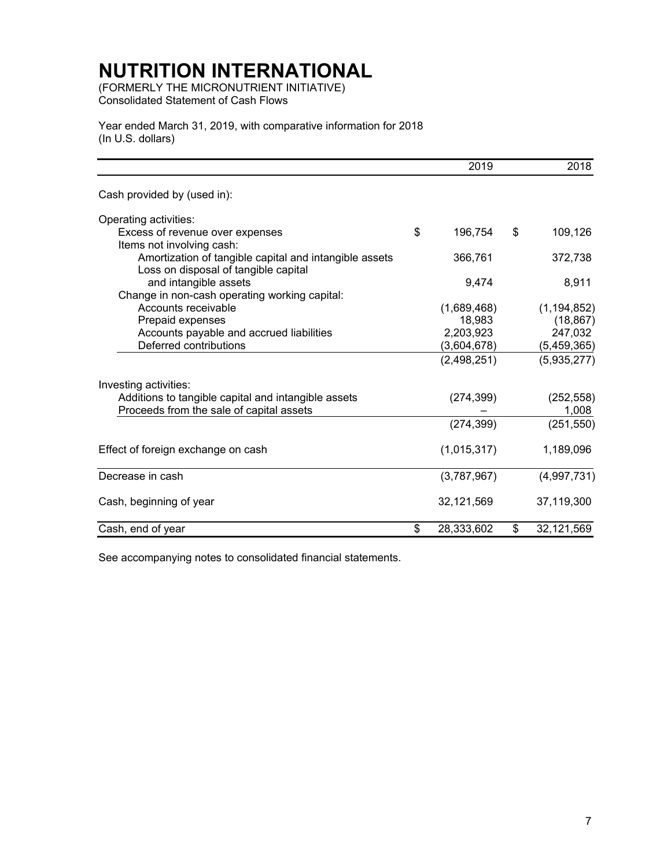(FORMERLY THE MICRONUTRIENT INITIATIVE) Consolidated Statement of Cash Flows

#### Year ended March 31, 2019, with comparative information for 2018 (In U.S. dollars)

|                                                                                                | 2019             | 2018             |
|------------------------------------------------------------------------------------------------|------------------|------------------|
| Cash provided by (used in):                                                                    |                  |                  |
| Operating activities:                                                                          |                  |                  |
| Excess of revenue over expenses                                                                | \$<br>196,754    | \$<br>109,126    |
| Items not involving cash:                                                                      |                  |                  |
| Amortization of tangible capital and intangible assets<br>Loss on disposal of tangible capital | 366,761          | 372,738          |
| and intangible assets                                                                          | 9,474            | 8,911            |
| Change in non-cash operating working capital:                                                  |                  |                  |
| Accounts receivable                                                                            | (1,689,468)      | (1, 194, 852)    |
| Prepaid expenses                                                                               | 18,983           | (18, 867)        |
| Accounts payable and accrued liabilities                                                       | 2,203,923        | 247,032          |
| Deferred contributions                                                                         | (3,604,678)      | (5,459,365)      |
|                                                                                                | (2,498,251)      | (5,935,277)      |
| Investing activities:                                                                          |                  |                  |
| Additions to tangible capital and intangible assets                                            | (274, 399)       | (252, 558)       |
| Proceeds from the sale of capital assets                                                       |                  | 1,008            |
|                                                                                                | (274, 399)       | (251, 550)       |
| Effect of foreign exchange on cash                                                             | (1,015,317)      | 1,189,096        |
| Decrease in cash                                                                               | (3,787,967)      | (4,997,731)      |
| Cash, beginning of year                                                                        | 32,121,569       | 37,119,300       |
| Cash, end of year                                                                              | \$<br>28,333,602 | \$<br>32,121,569 |

See accompanying notes to consolidated financial statements.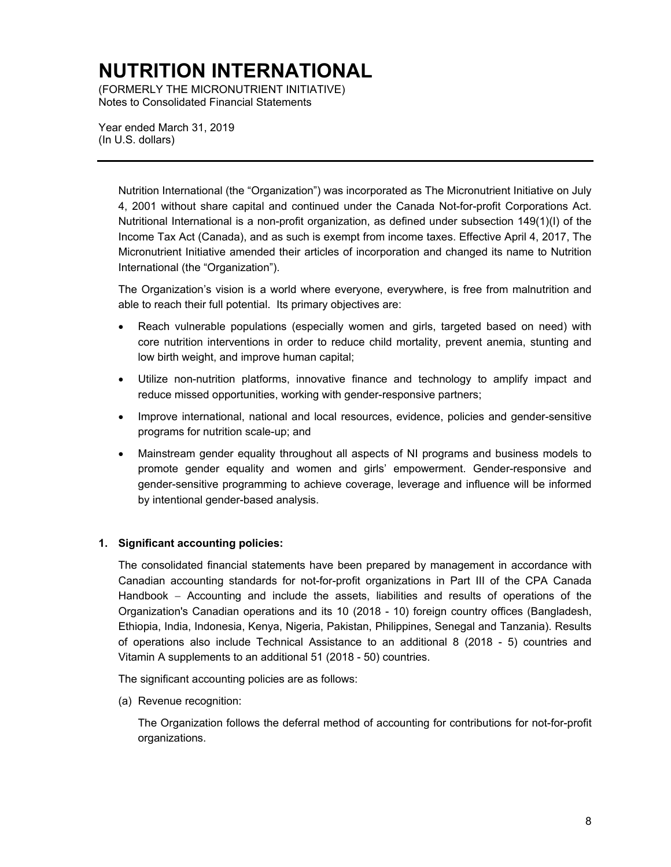(FORMERLY THE MICRONUTRIENT INITIATIVE) Notes to Consolidated Financial Statements

Year ended March 31, 2019 (In U.S. dollars)

> Nutrition International (the "Organization") was incorporated as The Micronutrient Initiative on July 4, 2001 without share capital and continued under the Canada Not-for-profit Corporations Act. Nutritional International is a non-profit organization, as defined under subsection 149(1)(I) of the Income Tax Act (Canada), and as such is exempt from income taxes. Effective April 4, 2017, The Micronutrient Initiative amended their articles of incorporation and changed its name to Nutrition International (the "Organization").

> The Organization's vision is a world where everyone, everywhere, is free from malnutrition and able to reach their full potential. Its primary objectives are:

- Reach vulnerable populations (especially women and girls, targeted based on need) with core nutrition interventions in order to reduce child mortality, prevent anemia, stunting and low birth weight, and improve human capital;
- Utilize non-nutrition platforms, innovative finance and technology to amplify impact and reduce missed opportunities, working with gender-responsive partners;
- Improve international, national and local resources, evidence, policies and gender-sensitive programs for nutrition scale-up; and
- Mainstream gender equality throughout all aspects of NI programs and business models to promote gender equality and women and girls' empowerment. Gender-responsive and gender-sensitive programming to achieve coverage, leverage and influence will be informed by intentional gender-based analysis.

#### **1. Significant accounting policies:**

The consolidated financial statements have been prepared by management in accordance with Canadian accounting standards for not-for-profit organizations in Part III of the CPA Canada Handbook – Accounting and include the assets, liabilities and results of operations of the Organization's Canadian operations and its 10 (2018 - 10) foreign country offices (Bangladesh, Ethiopia, India, Indonesia, Kenya, Nigeria, Pakistan, Philippines, Senegal and Tanzania). Results of operations also include Technical Assistance to an additional 8 (2018 - 5) countries and Vitamin A supplements to an additional 51 (2018 - 50) countries.

The significant accounting policies are as follows:

(a) Revenue recognition:

The Organization follows the deferral method of accounting for contributions for not-for-profit organizations.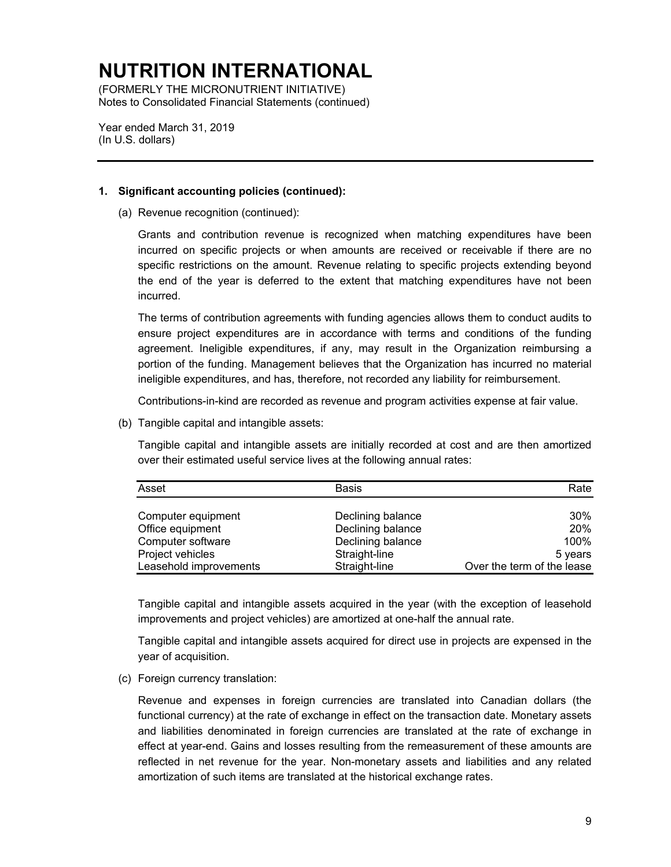(FORMERLY THE MICRONUTRIENT INITIATIVE) Notes to Consolidated Financial Statements (continued)

Year ended March 31, 2019 (In U.S. dollars)

#### **1. Significant accounting policies (continued):**

(a) Revenue recognition (continued):

Grants and contribution revenue is recognized when matching expenditures have been incurred on specific projects or when amounts are received or receivable if there are no specific restrictions on the amount. Revenue relating to specific projects extending beyond the end of the year is deferred to the extent that matching expenditures have not been incurred.

The terms of contribution agreements with funding agencies allows them to conduct audits to ensure project expenditures are in accordance with terms and conditions of the funding agreement. Ineligible expenditures, if any, may result in the Organization reimbursing a portion of the funding. Management believes that the Organization has incurred no material ineligible expenditures, and has, therefore, not recorded any liability for reimbursement.

Contributions-in-kind are recorded as revenue and program activities expense at fair value.

(b) Tangible capital and intangible assets:

Tangible capital and intangible assets are initially recorded at cost and are then amortized over their estimated useful service lives at the following annual rates:

| Asset                  | <b>Basis</b>      | Rate                       |
|------------------------|-------------------|----------------------------|
|                        |                   |                            |
| Computer equipment     | Declining balance | $30\%$                     |
| Office equipment       | Declining balance | 20%                        |
| Computer software      | Declining balance | 100%                       |
| Project vehicles       | Straight-line     | 5 years                    |
| Leasehold improvements | Straight-line     | Over the term of the lease |

Tangible capital and intangible assets acquired in the year (with the exception of leasehold improvements and project vehicles) are amortized at one-half the annual rate.

Tangible capital and intangible assets acquired for direct use in projects are expensed in the year of acquisition.

(c) Foreign currency translation:

Revenue and expenses in foreign currencies are translated into Canadian dollars (the functional currency) at the rate of exchange in effect on the transaction date. Monetary assets and liabilities denominated in foreign currencies are translated at the rate of exchange in effect at year-end. Gains and losses resulting from the remeasurement of these amounts are reflected in net revenue for the year. Non-monetary assets and liabilities and any related amortization of such items are translated at the historical exchange rates.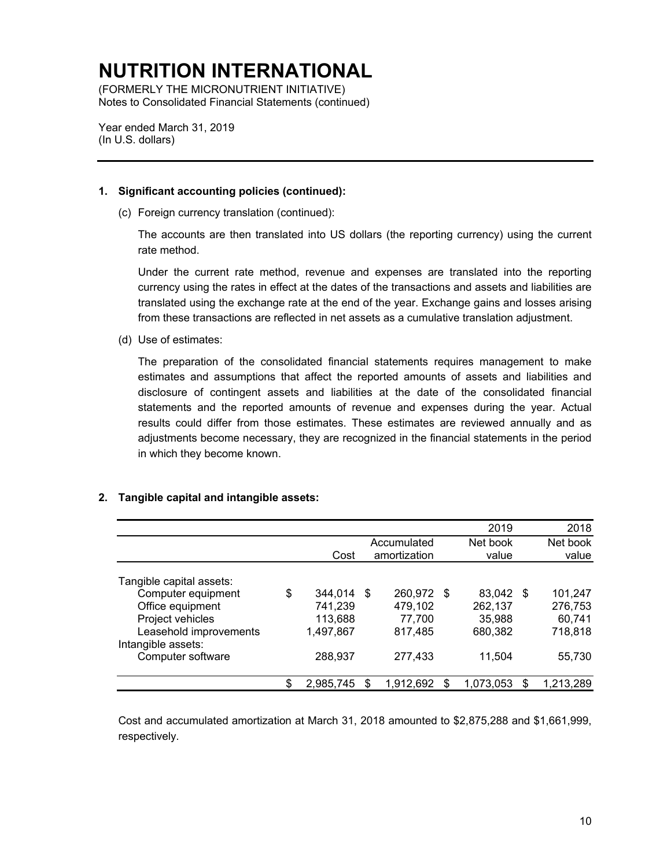(FORMERLY THE MICRONUTRIENT INITIATIVE) Notes to Consolidated Financial Statements (continued)

Year ended March 31, 2019 (In U.S. dollars)

#### **1. Significant accounting policies (continued):**

(c) Foreign currency translation (continued):

The accounts are then translated into US dollars (the reporting currency) using the current rate method.

Under the current rate method, revenue and expenses are translated into the reporting currency using the rates in effect at the dates of the transactions and assets and liabilities are translated using the exchange rate at the end of the year. Exchange gains and losses arising from these transactions are reflected in net assets as a cumulative translation adjustment.

(d) Use of estimates:

The preparation of the consolidated financial statements requires management to make estimates and assumptions that affect the reported amounts of assets and liabilities and disclosure of contingent assets and liabilities at the date of the consolidated financial statements and the reported amounts of revenue and expenses during the year. Actual results could differ from those estimates. These estimates are reviewed annually and as adjustments become necessary, they are recognized in the financial statements in the period in which they become known.

#### **2. Tangible capital and intangible assets:**

|                                                                    |                          |                             |      | 2019              | 2018               |
|--------------------------------------------------------------------|--------------------------|-----------------------------|------|-------------------|--------------------|
|                                                                    | Cost                     | Accumulated<br>amortization |      | Net book<br>value | Net book<br>value  |
|                                                                    |                          |                             |      |                   |                    |
| Tangible capital assets:<br>Computer equipment<br>Office equipment | \$<br>344,014<br>741,239 | \$<br>260,972               | - \$ | 83,042 \$         | 101,247<br>276,753 |
| Project vehicles                                                   | 113,688                  | 479,102<br>77,700           |      | 262,137<br>35,988 | 60,741             |
| Leasehold improvements<br>Intangible assets:                       | 1,497,867                | 817,485                     |      | 680,382           | 718,818            |
| Computer software                                                  | 288,937                  | 277,433                     |      | 11,504            | 55,730             |
|                                                                    | \$<br>2,985,745          | 1,912,692                   | S    | 1,073,053         | \$<br>1,213,289    |

Cost and accumulated amortization at March 31, 2018 amounted to \$2,875,288 and \$1,661,999, respectively.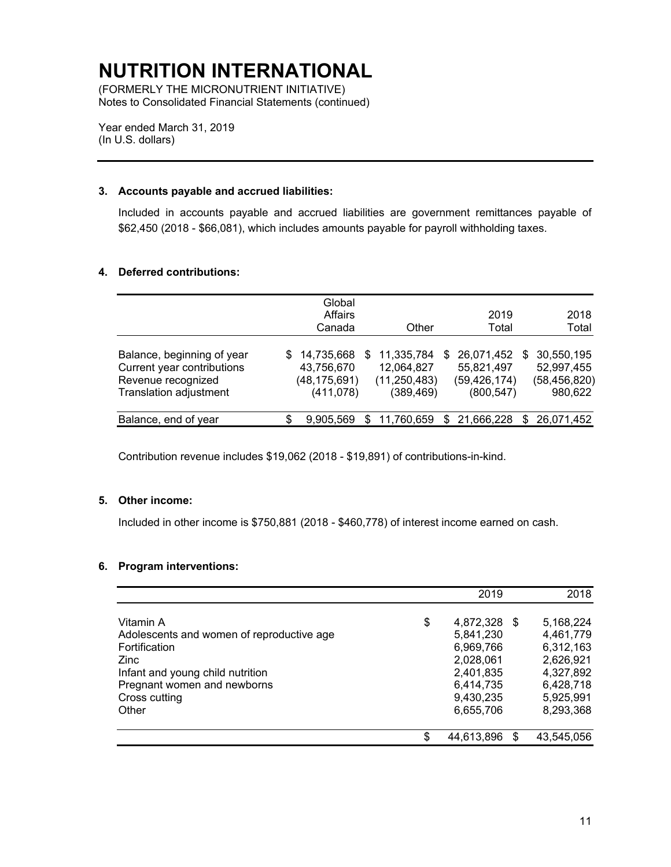(FORMERLY THE MICRONUTRIENT INITIATIVE) Notes to Consolidated Financial Statements (continued)

Year ended March 31, 2019 (In U.S. dollars)

#### **3. Accounts payable and accrued liabilities:**

Included in accounts payable and accrued liabilities are government remittances payable of \$62,450 (2018 - \$66,081), which includes amounts payable for payroll withholding taxes.

#### **4. Deferred contributions:**

|                                                                                                                 |     | Global<br>Affairs<br>Canada                           |     | Other                                                    |   | 2019<br>Total                                            |   | 2018<br>Total                                         |
|-----------------------------------------------------------------------------------------------------------------|-----|-------------------------------------------------------|-----|----------------------------------------------------------|---|----------------------------------------------------------|---|-------------------------------------------------------|
| Balance, beginning of year<br>Current year contributions<br>Revenue recognized<br><b>Translation adjustment</b> | S   | 14,735,668<br>43,756,670<br>(48,175,691)<br>(411,078) | S   | 11,335,784<br>12,064,827<br>(11, 250, 483)<br>(389, 469) | S | 26,071,452<br>55,821,497<br>(59, 426, 174)<br>(800, 547) | S | 30,550,195<br>52,997,455<br>(58, 456, 820)<br>980,622 |
| Balance, end of year                                                                                            | \$. | 9.905.569                                             | \$. | 11.760.659                                               | S | 21,666,228                                               | S | 26,071,452                                            |

Contribution revenue includes \$19,062 (2018 - \$19,891) of contributions-in-kind.

#### **5. Other income:**

Included in other income is \$750,881 (2018 - \$460,778) of interest income earned on cash.

#### **6. Program interventions:**

|                                                                                                                                                                                     | 2019                                                                                                       |      | 2018                                                                                                 |
|-------------------------------------------------------------------------------------------------------------------------------------------------------------------------------------|------------------------------------------------------------------------------------------------------------|------|------------------------------------------------------------------------------------------------------|
| Vitamin A<br>Adolescents and women of reproductive age<br>Fortification<br><b>Zinc</b><br>Infant and young child nutrition<br>Pregnant women and newborns<br>Cross cutting<br>Other | \$<br>4,872,328<br>5,841,230<br>6,969,766<br>2,028,061<br>2,401,835<br>6,414,735<br>9,430,235<br>6,655,706 | - \$ | 5,168,224<br>4,461,779<br>6,312,163<br>2,626,921<br>4,327,892<br>6,428,718<br>5,925,991<br>8,293,368 |
|                                                                                                                                                                                     | \$<br>44,613,896                                                                                           | \$.  | 43,545,056                                                                                           |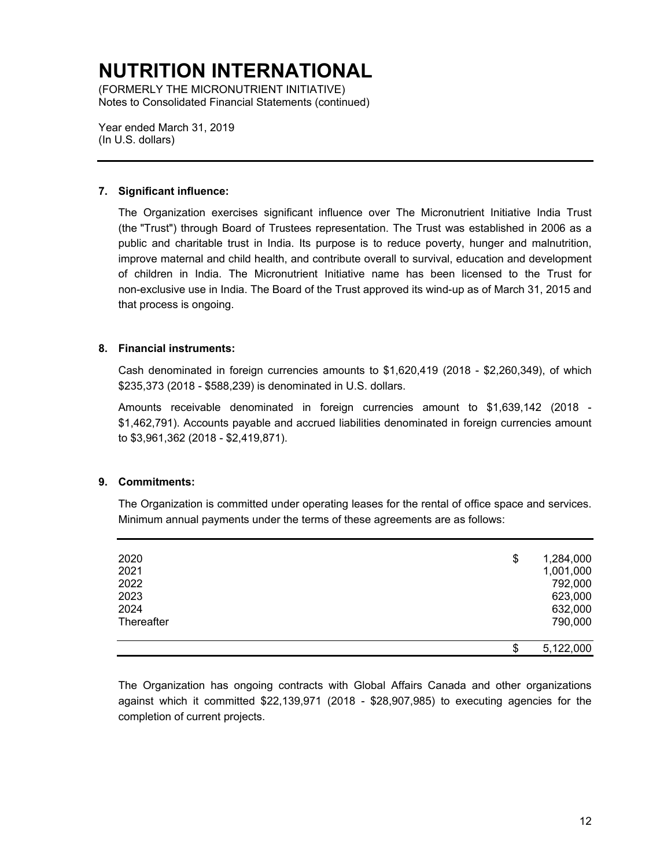(FORMERLY THE MICRONUTRIENT INITIATIVE) Notes to Consolidated Financial Statements (continued)

Year ended March 31, 2019 (In U.S. dollars)

#### **7. Significant influence:**

The Organization exercises significant influence over The Micronutrient Initiative India Trust (the "Trust") through Board of Trustees representation. The Trust was established in 2006 as a public and charitable trust in India. Its purpose is to reduce poverty, hunger and malnutrition, improve maternal and child health, and contribute overall to survival, education and development of children in India. The Micronutrient Initiative name has been licensed to the Trust for non-exclusive use in India. The Board of the Trust approved its wind-up as of March 31, 2015 and that process is ongoing.

#### **8. Financial instruments:**

Cash denominated in foreign currencies amounts to \$1,620,419 (2018 - \$2,260,349), of which \$235,373 (2018 - \$588,239) is denominated in U.S. dollars.

Amounts receivable denominated in foreign currencies amount to \$1,639,142 (2018 - \$1,462,791). Accounts payable and accrued liabilities denominated in foreign currencies amount to \$3,961,362 (2018 - \$2,419,871).

#### **9. Commitments:**

The Organization is committed under operating leases for the rental of office space and services. Minimum annual payments under the terms of these agreements are as follows:

| 2020<br>2021<br>2022<br>2023 | \$<br>1,284,000<br>1,001,000<br>792,000<br>623,000 |
|------------------------------|----------------------------------------------------|
| 2024<br>Thereafter           | 632,000<br>790,000                                 |
|                              | \$<br>5,122,000                                    |

The Organization has ongoing contracts with Global Affairs Canada and other organizations against which it committed \$22,139,971 (2018 - \$28,907,985) to executing agencies for the completion of current projects.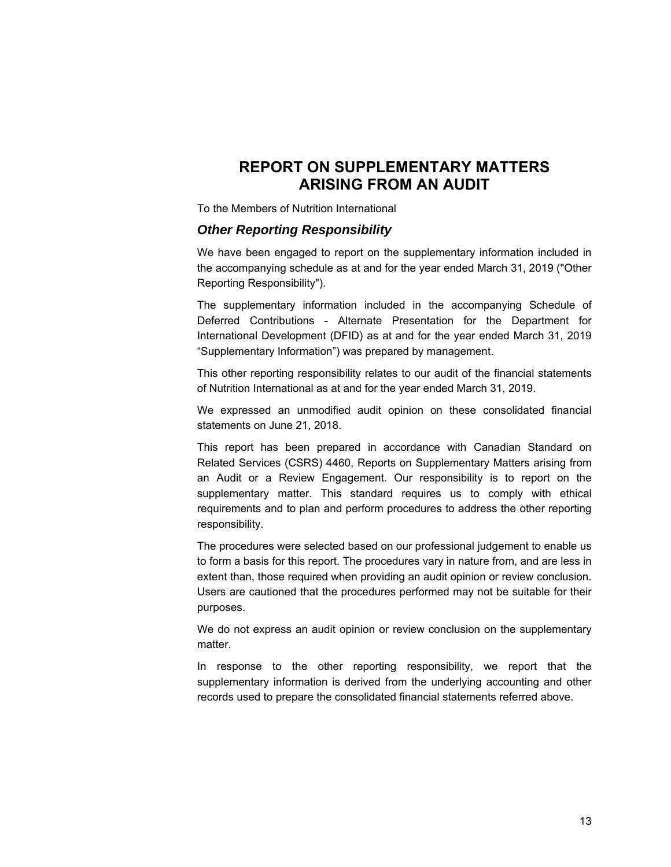### **REPORT ON SUPPLEMENTARY MATTERS ARISING FROM AN AUDIT**

To the Members of Nutrition International

#### *Other Reporting Responsibility*

We have been engaged to report on the supplementary information included in the accompanying schedule as at and for the year ended March 31, 2019 ("Other Reporting Responsibility").

The supplementary information included in the accompanying Schedule of Deferred Contributions - Alternate Presentation for the Department for International Development (DFID) as at and for the year ended March 31, 2019 "Supplementary Information") was prepared by management.

This other reporting responsibility relates to our audit of the financial statements of Nutrition International as at and for the year ended March 31, 2019.

We expressed an unmodified audit opinion on these consolidated financial statements on June 21, 2018.

This report has been prepared in accordance with Canadian Standard on Related Services (CSRS) 4460, Reports on Supplementary Matters arising from an Audit or a Review Engagement. Our responsibility is to report on the supplementary matter. This standard requires us to comply with ethical requirements and to plan and perform procedures to address the other reporting responsibility.

The procedures were selected based on our professional judgement to enable us to form a basis for this report. The procedures vary in nature from, and are less in extent than, those required when providing an audit opinion or review conclusion. Users are cautioned that the procedures performed may not be suitable for their purposes.

We do not express an audit opinion or review conclusion on the supplementary matter.

In response to the other reporting responsibility, we report that the supplementary information is derived from the underlying accounting and other records used to prepare the consolidated financial statements referred above.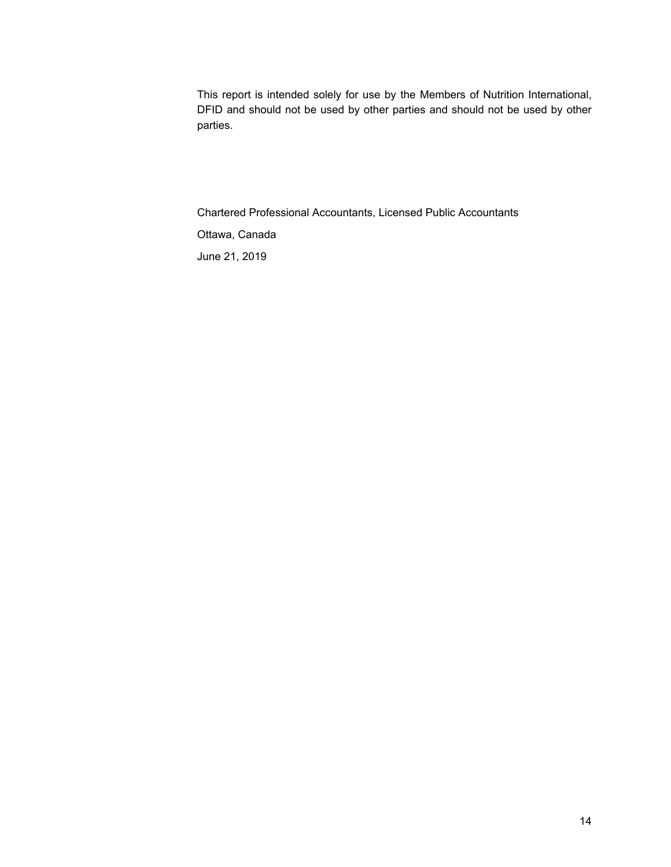This report is intended solely for use by the Members of Nutrition International, DFID and should not be used by other parties and should not be used by other parties.

Chartered Professional Accountants, Licensed Public Accountants Ottawa, Canada June 21, 2019